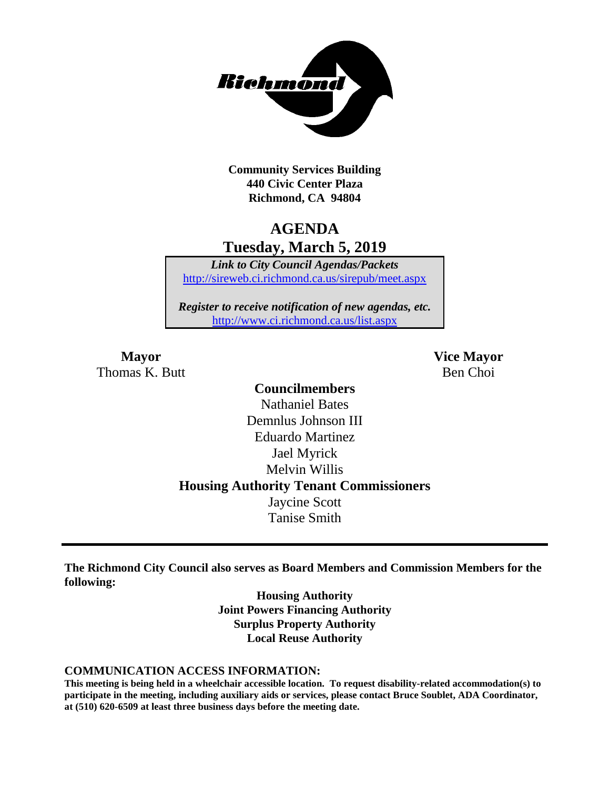

**Community Services Building 440 Civic Center Plaza Richmond, CA 94804**

## **AGENDA Tuesday, March 5, 2019**

*Link to City Council Agendas/Packets* <http://sireweb.ci.richmond.ca.us/sirepub/meet.aspx>

*Register to receive notification of new agendas, etc.* <http://www.ci.richmond.ca.us/list.aspx>

**Mayor Vice Mayor** Thomas K. Butt Ben Choi

### **Councilmembers** Nathaniel Bates Demnlus Johnson III Eduardo Martinez Jael Myrick Melvin Willis **Housing Authority Tenant Commissioners** Jaycine Scott Tanise Smith

**The Richmond City Council also serves as Board Members and Commission Members for the following:**

> **Housing Authority Joint Powers Financing Authority Surplus Property Authority Local Reuse Authority**

#### **COMMUNICATION ACCESS INFORMATION:**

**This meeting is being held in a wheelchair accessible location. To request disability-related accommodation(s) to participate in the meeting, including auxiliary aids or services, please contact Bruce Soublet, ADA Coordinator, at (510) 620-6509 at least three business days before the meeting date.**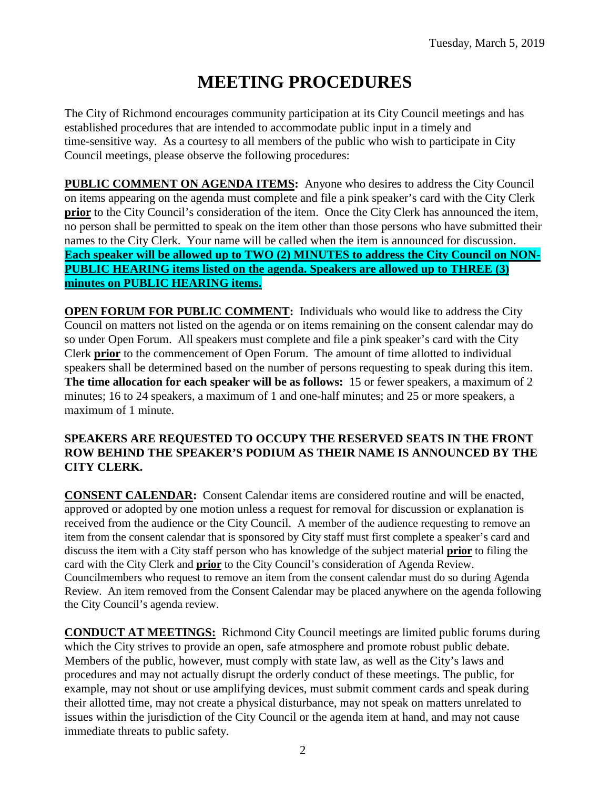# **MEETING PROCEDURES**

The City of Richmond encourages community participation at its City Council meetings and has established procedures that are intended to accommodate public input in a timely and time-sensitive way. As a courtesy to all members of the public who wish to participate in City Council meetings, please observe the following procedures:

**PUBLIC COMMENT ON AGENDA ITEMS:** Anyone who desires to address the City Council on items appearing on the agenda must complete and file a pink speaker's card with the City Clerk **prior** to the City Council's consideration of the item. Once the City Clerk has announced the item, no person shall be permitted to speak on the item other than those persons who have submitted their names to the City Clerk. Your name will be called when the item is announced for discussion. **Each speaker will be allowed up to TWO (2) MINUTES to address the City Council on NON-PUBLIC HEARING items listed on the agenda. Speakers are allowed up to THREE (3) minutes on PUBLIC HEARING items.**

**OPEN FORUM FOR PUBLIC COMMENT:** Individuals who would like to address the City Council on matters not listed on the agenda or on items remaining on the consent calendar may do so under Open Forum. All speakers must complete and file a pink speaker's card with the City Clerk **prior** to the commencement of Open Forum. The amount of time allotted to individual speakers shall be determined based on the number of persons requesting to speak during this item. **The time allocation for each speaker will be as follows:** 15 or fewer speakers, a maximum of 2 minutes; 16 to 24 speakers, a maximum of 1 and one-half minutes; and 25 or more speakers, a maximum of 1 minute.

#### **SPEAKERS ARE REQUESTED TO OCCUPY THE RESERVED SEATS IN THE FRONT ROW BEHIND THE SPEAKER'S PODIUM AS THEIR NAME IS ANNOUNCED BY THE CITY CLERK.**

**CONSENT CALENDAR:** Consent Calendar items are considered routine and will be enacted, approved or adopted by one motion unless a request for removal for discussion or explanation is received from the audience or the City Council. A member of the audience requesting to remove an item from the consent calendar that is sponsored by City staff must first complete a speaker's card and discuss the item with a City staff person who has knowledge of the subject material **prior** to filing the card with the City Clerk and **prior** to the City Council's consideration of Agenda Review. Councilmembers who request to remove an item from the consent calendar must do so during Agenda Review. An item removed from the Consent Calendar may be placed anywhere on the agenda following the City Council's agenda review.

**CONDUCT AT MEETINGS:** Richmond City Council meetings are limited public forums during which the City strives to provide an open, safe atmosphere and promote robust public debate. Members of the public, however, must comply with state law, as well as the City's laws and procedures and may not actually disrupt the orderly conduct of these meetings. The public, for example, may not shout or use amplifying devices, must submit comment cards and speak during their allotted time, may not create a physical disturbance, may not speak on matters unrelated to issues within the jurisdiction of the City Council or the agenda item at hand, and may not cause immediate threats to public safety.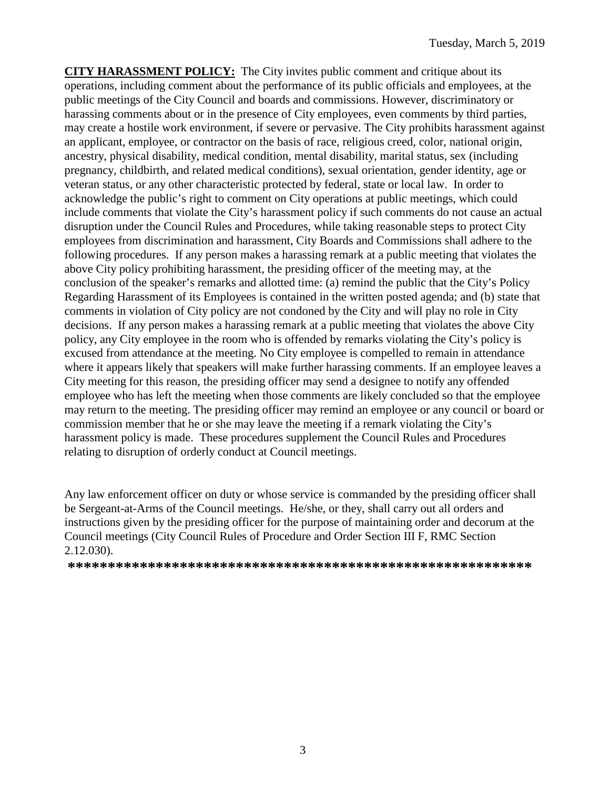**CITY HARASSMENT POLICY:** The City invites public comment and critique about its operations, including comment about the performance of its public officials and employees, at the public meetings of the City Council and boards and commissions. However, discriminatory or harassing comments about or in the presence of City employees, even comments by third parties, may create a hostile work environment, if severe or pervasive. The City prohibits harassment against an applicant, employee, or contractor on the basis of race, religious creed, color, national origin, ancestry, physical disability, medical condition, mental disability, marital status, sex (including pregnancy, childbirth, and related medical conditions), sexual orientation, gender identity, age or veteran status, or any other characteristic protected by federal, state or local law. In order to acknowledge the public's right to comment on City operations at public meetings, which could include comments that violate the City's harassment policy if such comments do not cause an actual disruption under the Council Rules and Procedures, while taking reasonable steps to protect City employees from discrimination and harassment, City Boards and Commissions shall adhere to the following procedures. If any person makes a harassing remark at a public meeting that violates the above City policy prohibiting harassment, the presiding officer of the meeting may, at the conclusion of the speaker's remarks and allotted time: (a) remind the public that the City's Policy Regarding Harassment of its Employees is contained in the written posted agenda; and (b) state that comments in violation of City policy are not condoned by the City and will play no role in City decisions. If any person makes a harassing remark at a public meeting that violates the above City policy, any City employee in the room who is offended by remarks violating the City's policy is excused from attendance at the meeting. No City employee is compelled to remain in attendance where it appears likely that speakers will make further harassing comments. If an employee leaves a City meeting for this reason, the presiding officer may send a designee to notify any offended employee who has left the meeting when those comments are likely concluded so that the employee may return to the meeting. The presiding officer may remind an employee or any council or board or commission member that he or she may leave the meeting if a remark violating the City's harassment policy is made. These procedures supplement the Council Rules and Procedures relating to disruption of orderly conduct at Council meetings.

Any law enforcement officer on duty or whose service is commanded by the presiding officer shall be Sergeant-at-Arms of the Council meetings. He/she, or they, shall carry out all orders and instructions given by the presiding officer for the purpose of maintaining order and decorum at the Council meetings (City Council Rules of Procedure and Order Section III F, RMC Section 2.12.030).

**\*\*\*\*\*\*\*\*\*\*\*\*\*\*\*\*\*\*\*\*\*\*\*\*\*\*\*\*\*\*\*\*\*\*\*\*\*\*\*\*\*\*\*\*\*\*\*\*\*\*\*\*\*\*\*\*\*\***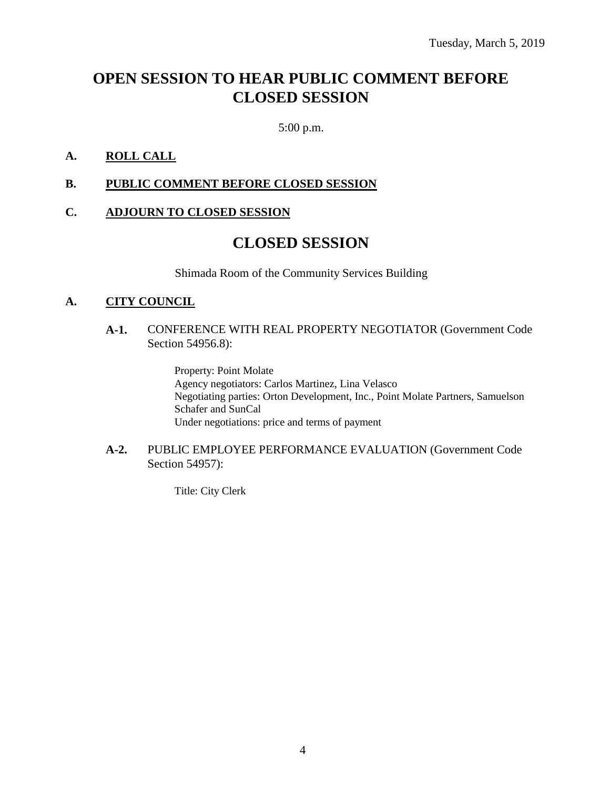## **OPEN SESSION TO HEAR PUBLIC COMMENT BEFORE CLOSED SESSION**

5:00 p.m.

#### **A. ROLL CALL**

#### **B. PUBLIC COMMENT BEFORE CLOSED SESSION**

#### **C. ADJOURN TO CLOSED SESSION**

### **CLOSED SESSION**

Shimada Room of the Community Services Building

#### **A. CITY COUNCIL**

#### **A-1.** CONFERENCE WITH REAL PROPERTY NEGOTIATOR (Government Code Section 54956.8):

Property: Point Molate Agency negotiators: Carlos Martinez, Lina Velasco Negotiating parties: Orton Development, Inc., Point Molate Partners, Samuelson Schafer and SunCal Under negotiations: price and terms of payment

#### **A-2.** PUBLIC EMPLOYEE PERFORMANCE EVALUATION (Government Code Section 54957):

Title: City Clerk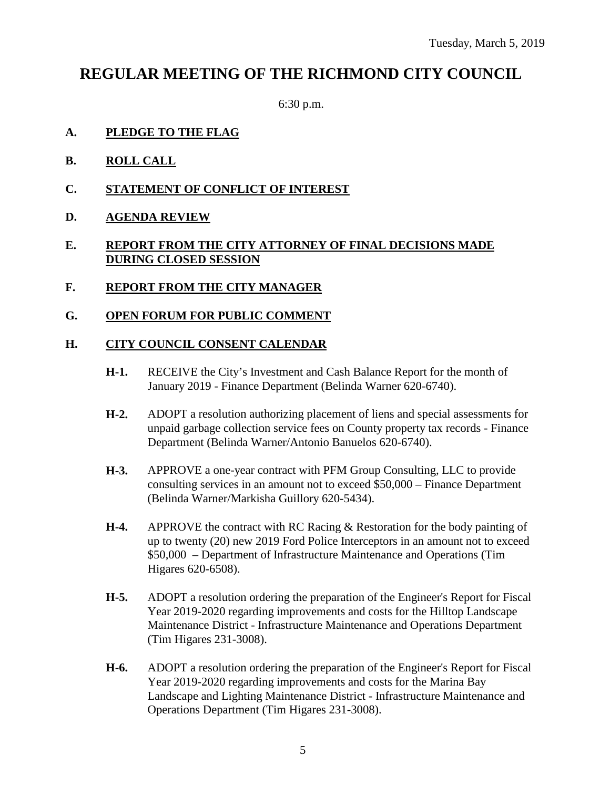## **REGULAR MEETING OF THE RICHMOND CITY COUNCIL**

6:30 p.m.

- **A. PLEDGE TO THE FLAG**
- **B. ROLL CALL**
- **C. STATEMENT OF CONFLICT OF INTEREST**
- **D. AGENDA REVIEW**

#### **E. REPORT FROM THE CITY ATTORNEY OF FINAL DECISIONS MADE DURING CLOSED SESSION**

- **F. REPORT FROM THE CITY MANAGER**
- **G. OPEN FORUM FOR PUBLIC COMMENT**

#### **H. CITY COUNCIL CONSENT CALENDAR**

- **H-1.** RECEIVE the City's Investment and Cash Balance Report for the month of January 2019 - Finance Department (Belinda Warner 620-6740).
- **H-2.** ADOPT a resolution authorizing placement of liens and special assessments for unpaid garbage collection service fees on County property tax records - Finance Department (Belinda Warner/Antonio Banuelos 620-6740).
- **H-3.** APPROVE a one-year contract with PFM Group Consulting, LLC to provide consulting services in an amount not to exceed \$50,000 – Finance Department (Belinda Warner/Markisha Guillory 620-5434).
- **H-4.** APPROVE the contract with RC Racing & Restoration for the body painting of up to twenty (20) new 2019 Ford Police Interceptors in an amount not to exceed \$50,000 – Department of Infrastructure Maintenance and Operations (Tim Higares 620-6508).
- **H-5.** ADOPT a resolution ordering the preparation of the Engineer's Report for Fiscal Year 2019-2020 regarding improvements and costs for the Hilltop Landscape Maintenance District - Infrastructure Maintenance and Operations Department (Tim Higares 231-3008).
- **H-6.** ADOPT a resolution ordering the preparation of the Engineer's Report for Fiscal Year 2019-2020 regarding improvements and costs for the Marina Bay Landscape and Lighting Maintenance District - Infrastructure Maintenance and Operations Department (Tim Higares 231-3008).